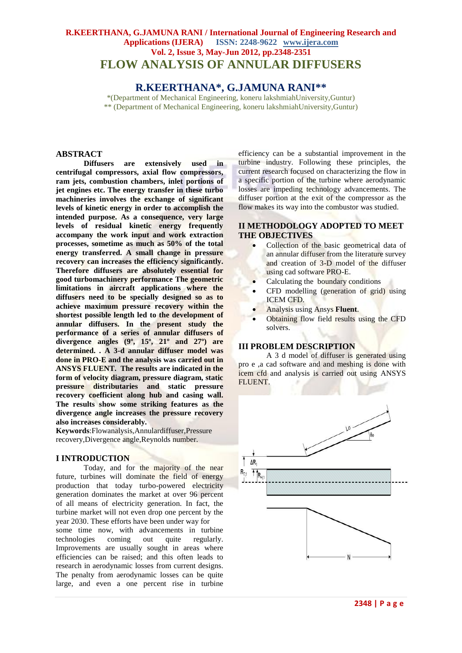# **R.KEERTHANA, G.JAMUNA RANI / International Journal of Engineering Research and Applications (IJERA) ISSN: 2248-9622 www.ijera.com Vol. 2, Issue 3, May-Jun 2012, pp.2348-2351 FLOW ANALYSIS OF ANNULAR DIFFUSERS**

## **R.KEERTHANA\*, G.JAMUNA RANI\*\***

\*(Department of Mechanical Engineering, koneru lakshmiahUniversity,Guntur) \*\* (Department of Mechanical Engineering, koneru lakshmiahUniversity,Guntur)

### **ABSTRACT**

**Diffusers are extensively used in centrifugal compressors, axial flow compressors, ram jets, combustion chambers, inlet portions of jet engines etc. The energy transfer in these turbo machineries involves the exchange of significant levels of kinetic energy in order to accomplish the intended purpose. As a consequence, very large levels of residual kinetic energy frequently accompany the work input and work extraction processes, sometime as much as 50% of the total energy transferred. A small change in pressure recovery can increases the efficiency significantly. Therefore diffusers are absolutely essential for good turbomachinery performance The geometric limitations in aircraft applications where the diffusers need to be specially designed so as to achieve maximum pressure recovery within the shortest possible length led to the development of annular diffusers. In the present study the performance of a series of annular diffusers of divergence angles (9º, 15º, 21º and 27º) are determined. . A 3-d annular diffuser model was done in PRO-E and the analysis was carried out in ANSYS FLUENT. The results are indicated in the form of velocity diagram, pressure diagram, static pressure distributaries and static pressure recovery coefficient along hub and casing wall. The results show some striking features as the divergence angle increases the pressure recovery also increases considerably.** 

**Keywords**:Flowanalysis,Annulardiffuser,Pressure recovery,Divergence angle,Reynolds number.

#### **I INTRODUCTION**

Today, and for the majority of the near future, turbines will dominate the field of energy production that today turbo-powered electricity generation dominates the market at over 96 percent of all means of electricity generation. In fact, the turbine market will not even drop one percent by the year 2030. These efforts have been under way for

some time now, with advancements in turbine technologies coming out quite regularly. Improvements are usually sought in areas where efficiencies can be raised; and this often leads to research in aerodynamic losses from current designs. The penalty from aerodynamic losses can be quite large, and even a one percent rise in turbine

efficiency can be a substantial improvement in the turbine industry. Following these principles, the current research focused on characterizing the flow in a specific portion of the turbine where aerodynamic losses are impeding technology advancements. The diffuser portion at the exit of the compressor as the flow makes its way into the combustor was studied.

## **II METHODOLOGY ADOPTED TO MEET THE OBJECTIVES**

- Collection of the basic geometrical data of an annular diffuser from the literature survey and creation of 3-D model of the diffuser using cad software PRO-E.
- Calculating the boundary conditions
- CFD modelling (generation of grid) using ICEM CFD.
- Analysis using Ansys **Fluent**.
- Obtaining flow field results using the CFD solvers.

#### **III PROBLEM DESCRIPTION**

A 3 d model of diffuser is generated using pro e ,a cad software and and meshing is done with icem cfd and analysis is carried out using ANSYS FLUENT.

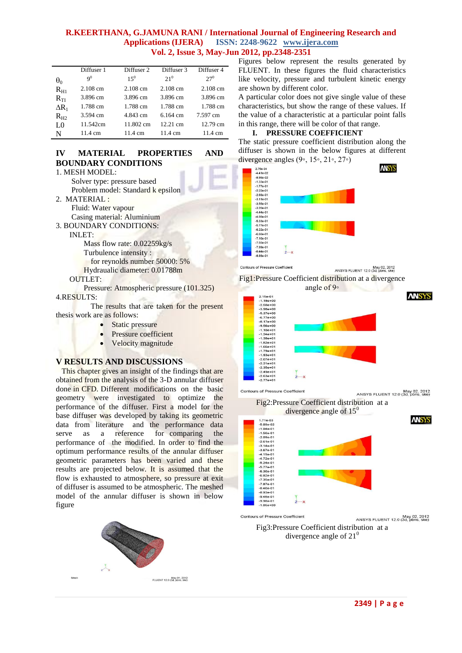### **R.KEERTHANA, G.JAMUNA RANI / International Journal of Engineering Research and Applications (IJERA) ISSN: 2248-9622 www.ijera.com Vol. 2, Issue 3, May-Jun 2012, pp.2348-2351**

|                                | Diffuser 1     | Diffuser 2         | Diffuser 3         | Diffuser 4 |
|--------------------------------|----------------|--------------------|--------------------|------------|
| $\theta_0$                     | 9 <sup>0</sup> | $15^{0}$           | 21 <sup>0</sup>    | $27^{0}$   |
| $R_{H1}$                       | $2.108$ cm     | $2.108 \text{ cm}$ | $2.108 \text{ cm}$ | 2.108 cm   |
| $R_{\scriptscriptstyle\rm TI}$ | 3.896 cm       | 3.896 cm           | 3.896 cm           | 3.896 cm   |
| $\Delta R_1$                   | 1.788 cm       | 1.788 cm           | 1.788 cm           | 1.788 cm   |
| $R_{H2}$                       | 3.594 cm       | 4.843 cm           | $6.164 \text{ cm}$ | 7.597 cm   |
| LO                             | 11.542cm       | 11.802 cm          | $12.21 \text{ cm}$ | 12.79 cm   |
| N                              | 11.4 cm        | 11.4 cm            | 11.4 cm            | 11.4 cm    |

# **IV MATERIAL PROPERTIES AND BOUNDARY CONDITIONS**

```
1. MESH MODEL:
     Solver type: pressure based
     Problem model: Standard k epsilon
2. MATERIAL :
     Fluid: Water vapour
     Casing material: Aluminium
3. BOUNDARY CONDITIONS:
     INLET:
        Mass flow rate: 0.02259kg/s
        Turbulence intensity : 
           for reynolds number 50000: 5% 
        Hydraualic diameter: 0.01788m
     OUTLET:
        Pressure: Atmospheric pressure (101.325)
4.RESULTS:
           The results that are taken for the present 
thesis work are as follows:
```
- Static pressure
- Pressure coefficient
- Velocity magnitude

# **V RESULTS AND DISCUSSIONS**

This chapter gives an insight of the findings that are obtained from the analysis of the 3-D annular diffuser done in CFD. Different modifications on the basic geometry were investigated to optimize the performance of the diffuser. First a model for the base diffuser was developed by taking its geometric data from literature and the performance data serve as a reference for comparing the performance of the modified. In order to find the optimum performance results of the annular diffuser geometric parameters has been varied and these results are projected below. It is assumed that the flow is exhausted to atmosphere, so pressure at exit of diffuser is assumed to be atmospheric. The meshed model of the annular diffuser is shown in below figure



Figures below represent the results generated by FLUENT. In these figures the fluid characteristics like velocity, pressure and turbulent kinetic energy are shown by different color.

A particular color does not give single value of these characteristics, but show the range of these values. If the value of a characteristic at a particular point falls in this range, there will be color of that range.

# **I. PRESSURE COEFFICIENT**

The static pressure coefficient distribution along the diffuser is shown in the below figures at different divergence angles (9◦, 15◦, 21◦, 27◦) **ANSYS** 





May 02, 2012<br>ANSYS FLUENT 12.0 (3d, pbns, ske)





Contours of Pressure Coefficient May 02, 2012<br>ANSYS FLUENT 12.0 (3d, pbns, ske)

Fig2:Pressure Coefficient distribution at a



May 02, 2012<br>ANSYS FLUENT 12.0 (3d, pbns, ske) Fig3:Pressure Coefficient distribution at a divergence angle of  $21<sup>0</sup>$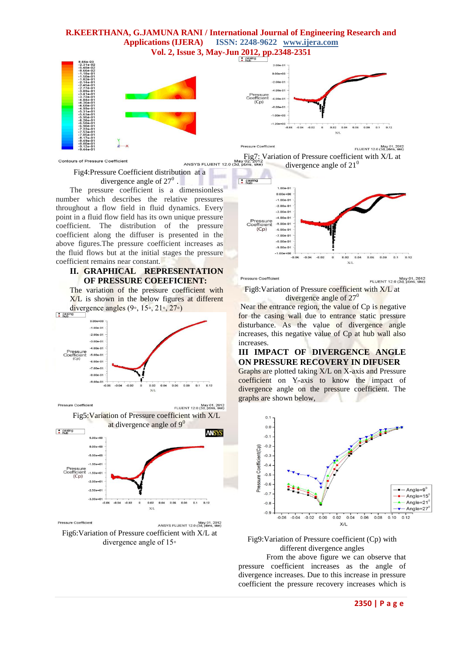### **R.KEERTHANA, G.JAMUNA RANI / International Journal of Engineering Research and Applications (IJERA) ISSN: 2248-9622 www.ijera.com Vol. 2, Issue 3, May-Jun 2012, pp.2348-2351**





Contours of Pressure Coefficient

Fig4:Pressure Coefficient distribution at a divergence angle of  $27^0$ .

The pressure coefficient is a dimensionless number which describes the relative pressures throughout a flow field in fluid dynamics. Every point in a fluid flow field has its own unique pressure coefficient. The distribution of the pressure coefficient along the diffuser is presented in the above figures.The pressure coefficient increases as the fluid flows but at the initial stages the pressure coefficient remains near constant.

# **II. GRAPHICAL REPRESENTATION OF PRESSURE COEEFICIENT:**

The variation of the pressure coefficient with X/L is shown in the below figures at different divergence angles (9∘, 15∘, 21∘, 27∘)



Pressure Coefficient May 01, 2012<br>FLUENT 12.0 (3d, pbns, ske) Fig5:Variation of Pressure coefficient with X/L



Pressure Coefficien May 01, 2012<br>ANSYS FLUENT 12.0 (3d, pbns, ske) Fig6:Variation of Pressure coefficient with X/L at divergence angle of 15◦

Pressure Coefficien May 01, 2012<br>FLUENT 12.0 (3d, pbns, ske) Fig7: Variation of Pressure coefficient with X/L at<br>ANSYS FLUENT 12.0 (3d, pbns, ske) divergence angle of  $21<sup>0</sup>$ 



Pressure Coefficient

May 01, 2012<br>FLUENT 12.0 (3d, pbns, ske)

Fig8:Variation of Pressure coefficient with X/L at divergence angle of  $27<sup>0</sup>$ 

Near the entrance region, the value of Cp is negative for the casing wall due to entrance static pressure disturbance. As the value of divergence angle increases, this negative value of Cp at hub wall also increases.

### **III IMPACT OF DIVERGENCE ANGLE ON PRESSURE RECOVERY IN DIFUSER**

Graphs are plotted taking X/L on X-axis and Pressure coefficient on Y-axis to know the impact of divergence angle on the pressure coefficient. The graphs are shown below,





From the above figure we can observe that pressure coefficient increases as the angle of divergence increases. Due to this increase in pressure coefficient the pressure recovery increases which is